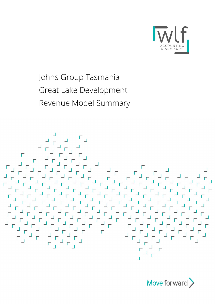

Johns Group Tasmania Great Lake Development Revenue Model Summary



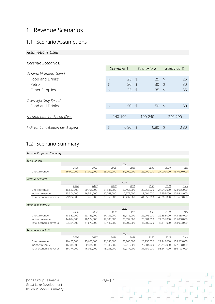## 1 Revenue Scenarios

## 1.1 Scenario Assumptions

#### Assumptions Used

#### Revenue Scenarios:

| 1 Revenue Scenarios                                |                          |                          |                          |                          |            |                          |                          |                            |
|----------------------------------------------------|--------------------------|--------------------------|--------------------------|--------------------------|------------|--------------------------|--------------------------|----------------------------|
| 1.1 Scenario Assumptions                           |                          |                          |                          |                          |            |                          |                          |                            |
| <b>Assumptions Used</b>                            |                          |                          |                          |                          |            |                          |                          |                            |
| Revenue Scenarios:                                 |                          |                          |                          |                          |            |                          |                          |                            |
|                                                    |                          |                          |                          | Scenario 1               |            | Scenario 2               |                          | Scenario 3                 |
| <b>General Visitation Spend</b><br>Food and Drinks |                          |                          | \$                       | 25                       | $\sqrt{5}$ | 25                       | $\sqrt{5}$               | 25                         |
| Petrol                                             |                          |                          | $\updownarrow$           | 30                       | $\sqrt{ }$ | 30                       | $\sqrt{5}$               | 30                         |
| Other Supplies                                     |                          |                          | $\updownarrow$           | 35                       | $\sqrt{5}$ | 35                       | $\sqrt{5}$               | 35                         |
| Overnight Stay Spend                               |                          |                          |                          |                          |            |                          |                          |                            |
| Food and Drinks                                    |                          |                          | $\updownarrow$           | 50                       | $\sqrt{5}$ | 50 $$$                   |                          | 50                         |
|                                                    |                          |                          |                          |                          |            |                          |                          |                            |
| Accommodation Spend (Ave.)                         |                          |                          |                          | 140-190                  |            | 190-240                  |                          | 240-290                    |
| Indirect Contribution per \$ Spent                 |                          |                          | $\updownarrow$           | $0.80$ \$                |            | $0.80$ \$                |                          | 0.80                       |
|                                                    |                          |                          |                          |                          |            |                          |                          |                            |
| 1.2 Scenario Summary                               |                          |                          |                          |                          |            |                          |                          |                            |
| Revenue Projection Summary                         |                          |                          |                          |                          |            |                          |                          |                            |
| <b>BDA</b> scenario                                |                          |                          |                          |                          |            |                          |                          |                            |
|                                                    | 2026                     | 2027                     | 2028                     | Years<br>2029            |            | 2030                     | 2031                     | <b>Total</b>               |
| Direct revenue                                     | 16,000,000               | 21,000,000               | 23,000,000               | 24,000,000               |            | 26,000,000               |                          | 27,000,000 137,000,000     |
| Revenue scenario 1                                 |                          |                          |                          |                          |            |                          |                          |                            |
|                                                    | 2026                     | 2027                     | 2028                     | Years<br>2029            |            | 2030                     | 2031                     | <b>Total</b>               |
| Direct revenue<br>Indirect revenue                 | 16,630,000<br>13,304,000 | 20,705,000<br>16,564,000 | 21,585,000<br>17,268,000 | 22,465,000<br>17,972,000 |            | 23,255,000<br>18,604,000 | 24,045,000<br>19,236,000 | 128,685,000<br>102,948,000 |
| Total economic revenue                             | 29.934.000               | 37.269.000               | 38.853.000               | 40 437 000               |            | 41859000                 |                          | 43.281.000 231.633.000     |

## 1.2 Scenario Summary

#### Revenue Projection Summary

| Overnight Stay Spend               |                    |                    |                          |                          |                          |                       |                             |
|------------------------------------|--------------------|--------------------|--------------------------|--------------------------|--------------------------|-----------------------|-----------------------------|
| Food and Drinks                    |                    |                    | $\frac{1}{2}$            | 50 $$$                   |                          | 50<br>$\frac{1}{2}$   | 50                          |
|                                    |                    |                    |                          |                          |                          |                       |                             |
| Accommodation Spend (Ave.)         |                    |                    |                          | 140-190                  | 190-240                  |                       | 240-290                     |
|                                    |                    |                    |                          |                          |                          |                       |                             |
| Indirect Contribution per \$ Spent |                    |                    | $\updownarrow$           | $0.80$ \$                |                          | 0.80<br>$\frac{1}{2}$ | 0.80                        |
|                                    |                    |                    |                          |                          |                          |                       |                             |
| 1.2 Scenario Summary               |                    |                    |                          |                          |                          |                       |                             |
| Revenue Projection Summary         |                    |                    |                          |                          |                          |                       |                             |
| <b>BDA</b> scenario                |                    |                    |                          |                          |                          |                       |                             |
|                                    |                    |                    |                          | Years                    |                          |                       |                             |
|                                    | 2026               | 2027               | 2028                     | 2029                     | 2030                     | 2031                  | Total                       |
| Direct revenue                     | 16,000,000         | 21,000,000         | 23,000,000               | 24,000,000               | 26,000,000               | 27,000,000            | 137,000,000                 |
| Revenue scenario 1                 |                    |                    |                          |                          |                          |                       |                             |
|                                    |                    |                    |                          | Years                    |                          |                       |                             |
| Direct revenue                     | 2026<br>16,630,000 | 2027<br>20,705,000 | 2028<br>21,585,000       | 2029<br>22,465,000       | 2030<br>23,255,000       | 2031<br>24,045,000    | <b>Total</b><br>128,685,000 |
| Indirect revenue                   | 13,304,000         | 16,564,000         | 17,268,000               | 17,972,000               | 18,604,000               | 19,236,000            | 102,948,000                 |
| Total economic revenue             | 29,934,000         | 37,269,000         | 38,853,000               | 40,437,000               | 41,859,000               | 43,281,000            | 231,633,000                 |
| Revenue scenario 2                 |                    |                    |                          |                          |                          |                       |                             |
|                                    |                    |                    |                          | Years                    |                          |                       |                             |
|                                    | 2026               | 2027               | 2028                     | 2029                     | 2030                     | 2031                  | <b>Total</b>                |
| Direct revenue                     | 18,530,000         | 23,155,000         | 24,135,000               | 25,115,000               | 26,005,000               | 26,895,000            | 143,835,000                 |
| Indirect revenue                   | 14,824,000         | 18,524,000         | 19,308,000               | 20,092,000               | 20,804,000               | 21,516,000            | 115,068,000                 |
| Total economic revenue             | 33,354,000         | 41,679,000         | 43,443,000               | 45,207,000               | 46,809,000               | 48,411,000            | 258,903,000                 |
| Revenue scenario 3                 |                    |                    |                          |                          |                          |                       |                             |
|                                    |                    |                    | 2028                     | Years                    |                          |                       |                             |
|                                    | 2026<br>20,430,000 | 2027               |                          | 2029                     | 2030                     | 2031<br>29,745,000    | <b>Total</b><br>158,985,000 |
|                                    |                    | 25,605,000         | 26,685,000<br>21,348,000 | 27,765,000<br>22,212,000 | 28,755,000<br>23,004,000 | 23,796,000            | 127,188,000                 |
| Direct revenue<br>Indirect revenue | 16,344,000         | 20,484,000         |                          |                          |                          |                       |                             |

Johns Group Tasmania **Page | 2** Great Lake Development Revenue Model Summary

 $\frac{1}{4}T\frac{1}{4}$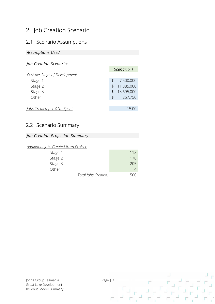# 2 Job Creation Scenario

## 2.1 Scenario Assumptions

### Assumptions Used

#### Job Creation Scenario:

| 2 Job Creation Scenario               |                     |                |                |
|---------------------------------------|---------------------|----------------|----------------|
| 2.1 Scenario Assumptions              |                     |                |                |
| <b>Assumptions Used</b>               |                     |                |                |
|                                       |                     |                |                |
| Job Creation Scenario:                |                     |                |                |
| Cost per Stage of Development         |                     |                | Scenario 1     |
| Stage 1                               |                     | $\updownarrow$ | 7,500,000      |
| Stage 2                               |                     | $\updownarrow$ | 11,885,000     |
| Stage 3                               |                     | $\updownarrow$ | 13,695,000     |
| Other                                 |                     | $\updownarrow$ | 257,750        |
|                                       |                     |                | 15.00          |
| Jobs Created per \$1m Spent           |                     |                |                |
|                                       |                     |                |                |
| 2.2 Scenario Summary                  |                     |                |                |
| Job Creation Projection Summary       |                     |                |                |
|                                       |                     |                |                |
| Additional Jobs Created from Project: |                     |                |                |
| Stage 1                               |                     |                | 113            |
| Stage 2                               |                     |                | 178            |
| Stage 3                               |                     |                | 205            |
| Other                                 |                     |                | $\overline{4}$ |
|                                       | Total Jobs Created: |                | 500            |
|                                       |                     |                |                |
|                                       |                     |                |                |
|                                       |                     |                |                |

## 2.2 Scenario Summary

### Job Creation Projection Summary

#### Additional Jobs Created from Project:

| Stage 1 |                     | 113 |
|---------|---------------------|-----|
| Stage 2 |                     | 178 |
| Stage 3 |                     | 205 |
| Other   |                     |     |
|         | Total lohs Created: |     |